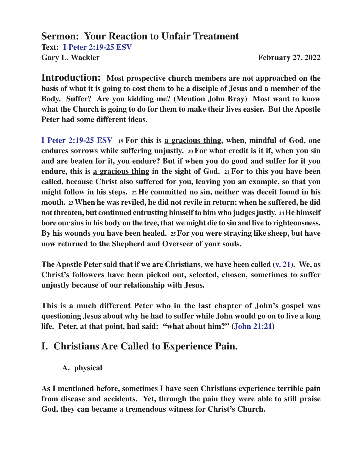**Sermon: Your Reaction to Unfair Treatment Text: I Peter 2:19-25 ESV** Gary L. Wackler **February 27, 2022** 

**Introduction: Most prospective church members are not approached on the basis of what it is going to cost them to be a disciple of Jesus and a member of the Body. Suffer? Are you kidding me? (Mention John Bray) Most want to know what the Church is going to do for them to make their lives easier. But the Apostle Peter had some different ideas.**

**I Peter 2:19-25 ESV 19 For this is a gracious thing, when, mindful of God, one endures sorrows while suffering unjustly. 20 For what credit is it if, when you sin and are beaten for it, you endure? But if when you do good and suffer for it you endure, this is a gracious thing in the sight of God. 21 For to this you have been called, because Christ also suffered for you, leaving you an example, so that you might follow in his steps. 22 He committed no sin, neither was deceit found in his mouth. 23 When he was reviled, he did not revile in return; when he suffered, he did not threaten, but continued entrusting himself to him who judges justly. 24 He himself bore our sins in his body on the tree, that we might die to sin and live to righteousness. By his wounds you have been healed. 25 For you were straying like sheep, but have now returned to the Shepherd and Overseer of your souls.**

**The Apostle Peter said that if we are Christians, we have been called (v. 21). We, as Christ's followers have been picked out, selected, chosen, sometimes to suffer unjustly because of our relationship with Jesus.**

**This is a much different Peter who in the last chapter of John's gospel was questioning Jesus about why he had to suffer while John would go on to live a long life. Peter, at that point, had said: "what about him?" (John 21:21)**

### **I. Christians Are Called to Experience Pain.**

#### **A. physical**

**As I mentioned before, sometimes I have seen Christians experience terrible pain from disease and accidents. Yet, through the pain they were able to still praise God, they can became a tremendous witness for Christ's Church.**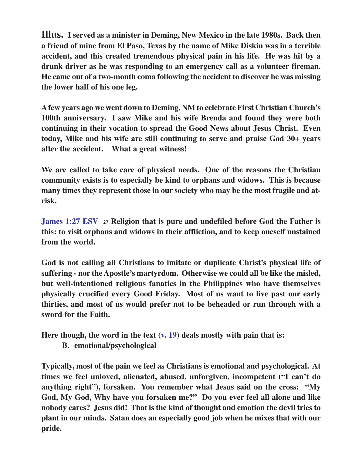**Illus. I served as a minister in Deming, New Mexico in the late 1980s. Back then a friend of mine from El Paso, Texas by the name of Mike Diskin was in a terrible accident, and this created tremendous physical pain in his life. He was hit by a drunk driver as he was responding to an emergency call as a volunteer fireman. He came out of a two-month coma following the accident to discover he was missing the lower half of his one leg.**

**A few years ago we went down to Deming, NM to celebrate First Christian Church's 100th anniversary. I saw Mike and his wife Brenda and found they were both continuing in their vocation to spread the Good News about Jesus Christ. Even today, Mike and his wife are still continuing to serve and praise God 30+ years after the accident. What a great witness!**

**We are called to take care of physical needs. One of the reasons the Christian community exists is to especially be kind to orphans and widows. This is because many times they represent those in our society who may be the most fragile and atrisk.**

**James 1:27 ESV 27 Religion that is pure and undefiled before God the Father is this: to visit orphans and widows in their affliction, and to keep oneself unstained from the world.**

**God is not calling all Christians to imitate or duplicate Christ's physical life of suffering - nor the Apostle's martyrdom. Otherwise we could all be like the misled, but well-intentioned religious fanatics in the Philippines who have themselves physically crucified every Good Friday. Most of us want to live past our early thirties, and most of us would prefer not to be beheaded or run through with a sword for the Faith.**

**Here though, the word in the text (v. 19) deals mostly with pain that is:**

**B. emotional/psychological**

**Typically, most of the pain we feel as Christians is emotional and psychological. At times we feel unloved, alienated, abused, unforgiven, incompetent ("I can't do anything right"), forsaken. You remember what Jesus said on the cross: "My God, My God, Why have you forsaken me?" Do you ever feel all alone and like nobody cares? Jesus did! That is the kind of thought and emotion the devil tries to plant in our minds. Satan does an especially good job when he mixes that with our pride.**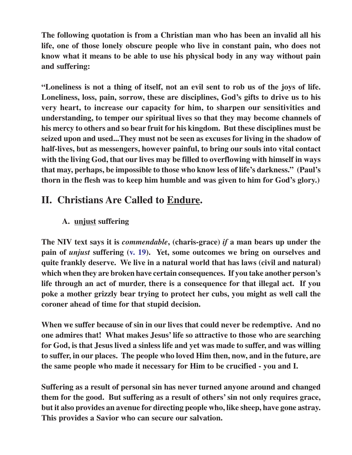**The following quotation is from a Christian man who has been an invalid all his life, one of those lonely obscure people who live in constant pain, who does not know what it means to be able to use his physical body in any way without pain and suffering:**

**"Loneliness is not a thing of itself, not an evil sent to rob us of the joys of life. Loneliness, loss, pain, sorrow, these are disciplines, God's gifts to drive us to his very heart, to increase our capacity for him, to sharpen our sensitivities and understanding, to temper our spiritual lives so that they may become channels of his mercy to others and so bear fruit for his kingdom. But these disciplines must be seized upon and used...They must not be seen as excuses for living in the shadow of half-lives, but as messengers, however painful, to bring our souls into vital contact with the living God, that our lives may be filled to overflowing with himself in ways that may, perhaps, be impossible to those who know less of life's darkness." (Paul's thorn in the flesh was to keep him humble and was given to him for God's glory.)**

# **II. Christians Are Called to Endure.**

#### **A. unjust suffering**

**The NIV text says it is** *commendable***, (charis-grace)** *if* **a man bears up under the pain of** *unjust* **suffering (v. 19). Yet, some outcomes we bring on ourselves and quite frankly deserve. We live in a natural world that has laws (civil and natural) which when they are broken have certain consequences. If you take another person's life through an act of murder, there is a consequence for that illegal act. If you poke a mother grizzly bear trying to protect her cubs, you might as well call the coroner ahead of time for that stupid decision.**

**When we suffer because of sin in our lives that could never be redemptive. And no one admires that! What makes Jesus' life so attractive to those who are searching for God, is that Jesus lived a sinless life and yet was made to suffer, and was willing to suffer, in our places. The people who loved Him then, now, and in the future, are the same people who made it necessary for Him to be crucified - you and I.**

**Suffering as a result of personal sin has never turned anyone around and changed them for the good. But suffering as a result of others' sin not only requires grace, but it also provides an avenue for directing people who, like sheep, have gone astray. This provides a Savior who can secure our salvation.**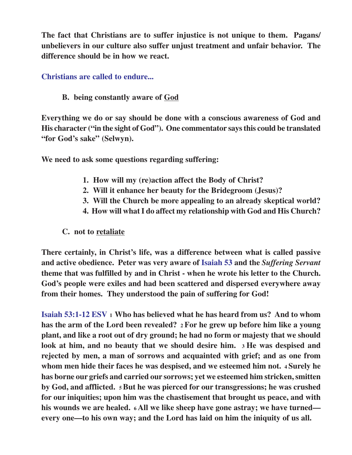**The fact that Christians are to suffer injustice is not unique to them. Pagans/ unbelievers in our culture also suffer unjust treatment and unfair behavior. The difference should be in how we react.**

**Christians are called to endure...**

**B. being constantly aware of God**

**Everything we do or say should be done with a conscious awareness of God and His character ("in the sight of God"). One commentator says this could be translated "for God's sake" (Selwyn).**

**We need to ask some questions regarding suffering:**

- **1. How will my (re)action affect the Body of Christ?**
- **2. Will it enhance her beauty for the Bridegroom (Jesus)?**
- **3. Will the Church be more appealing to an already skeptical world?**
- **4. How will what I do affect my relationship with God and His Church?**
- **C. not to retaliate**

**There certainly, in Christ's life, was a difference between what is called passive and active obedience. Peter was very aware of Isaiah 53 and the** *Suffering Servant* **theme that was fulfilled by and in Christ - when he wrote his letter to the Church. God's people were exiles and had been scattered and dispersed everywhere away from their homes. They understood the pain of suffering for God!**

**Isaiah 53:1-12 ESV 1 Who has believed what he has heard from us? And to whom has the arm of the Lord been revealed? 2 For he grew up before him like a young plant, and like a root out of dry ground; he had no form or majesty that we should look at him, and no beauty that we should desire him. 3 He was despised and rejected by men, a man of sorrows and acquainted with grief; and as one from whom men hide their faces he was despised, and we esteemed him not. 4 Surely he has borne our griefs and carried our sorrows; yet we esteemed him stricken, smitten by God, and afflicted. 5 But he was pierced for our transgressions; he was crushed for our iniquities; upon him was the chastisement that brought us peace, and with his wounds we are healed. 6 All we like sheep have gone astray; we have turned every one—to his own way; and the Lord has laid on him the iniquity of us all.**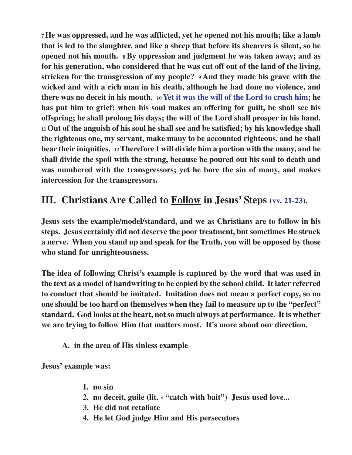**<sup>7</sup>He was oppressed, and he was afflicted, yet he opened not his mouth; like a lamb that is led to the slaughter, and like a sheep that before its shearers is silent, so he opened not his mouth. 8 By oppression and judgment he was taken away; and as for his generation, who considered that he was cut off out of the land of the living, stricken for the transgression of my people? 9 And they made his grave with the wicked and with a rich man in his death, although he had done no violence, and there was no deceit in his mouth. 10 Yet it was the will of the Lord to crush him; he has put him to grief; when his soul makes an offering for guilt, he shall see his offspring; he shall prolong his days; the will of the Lord shall prosper in his hand. <sup>11</sup>Out of the anguish of his soul he shall see and be satisfied; by his knowledge shall the righteous one, my servant, make many to be accounted righteous, and he shall bear their iniquities. 12 Therefore I will divide him a portion with the many, and he shall divide the spoil with the strong, because he poured out his soul to death and was numbered with the transgressors; yet he bore the sin of many, and makes intercession for the transgressors.**

# **III. Christians Are Called to Follow in Jesus' Steps (vv. 21-23).**

**Jesus sets the example/model/standard, and we as Christians are to follow in his steps. Jesus certainly did not deserve the poor treatment, but sometimes He struck a nerve. When you stand up and speak for the Truth, you will be opposed by those who stand for unrighteousness.**

**The idea of following Christ's example is captured by the word that was used in the text as a model of handwriting to be copied by the school child. It later referred to conduct that should be imitated. Imitation does not mean a perfect copy, so no one should be too hard on themselves when they fail to measure up to the "perfect" standard. God looks at the heart, not so much always at performance. It is whether we are trying to follow Him that matters most. It's more about our direction.**

**A. in the area of His sinless example**

**Jesus' example was:**

- **1. no sin**
- **2. no deceit, guile (lit. "catch with bait") Jesus used love...**
- **3. He did not retaliate**
- **4. He let God judge Him and His persecutors**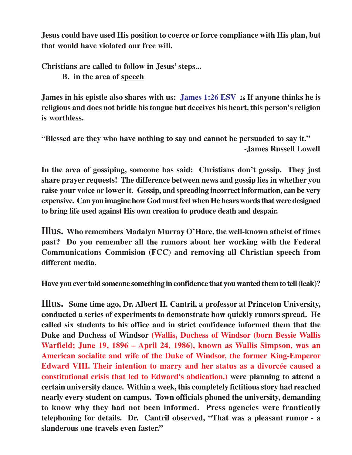**Jesus could have used His position to coerce or force compliance with His plan, but that would have violated our free will.**

**Christians are called to follow in Jesus' steps...**

**B. in the area of speech**

**James in his epistle also shares with us: James 1:26 ESV 26 If anyone thinks he is religious and does not bridle his tongue but deceives his heart, this person's religion is worthless.**

**"Blessed are they who have nothing to say and cannot be persuaded to say it." -James Russell Lowell**

**In the area of gossiping, someone has said: Christians don't gossip. They just share prayer requests! The difference between news and gossip lies in whether you raise your voice or lower it. Gossip, and spreading incorrect information, can be very expensive. Can you imagine how God must feel when He hears words that were designed to bring life used against His own creation to produce death and despair.**

**Illus. Who remembers Madalyn Murray O'Hare, the well-known atheist of times past? Do you remember all the rumors about her working with the Federal Communications Commision (FCC) and removing all Christian speech from different media.**

**Have you ever told someone something in confidence that you wanted them to tell (leak)?**

**Illus. Some time ago, Dr. Albert H. Cantril, a professor at Princeton University, conducted a series of experiments to demonstrate how quickly rumors spread. He called six students to his office and in strict confidence informed them that the Duke and Duchess of Windsor (Wallis, Duchess of Windsor (born Bessie Wallis Warfield; June 19, 1896 – April 24, 1986), known as Wallis Simpson, was an American socialite and wife of the Duke of Windsor, the former King-Emperor Edward VIII. Their intention to marry and her status as a divorcée caused a constitutional crisis that led to Edward's abdication.) were planning to attend a certain university dance. Within a week, this completely fictitious story had reached nearly every student on campus. Town officials phoned the university, demanding to know why they had not been informed. Press agencies were frantically telephoning for details. Dr. Cantril observed, "That was a pleasant rumor - a slanderous one travels even faster."**